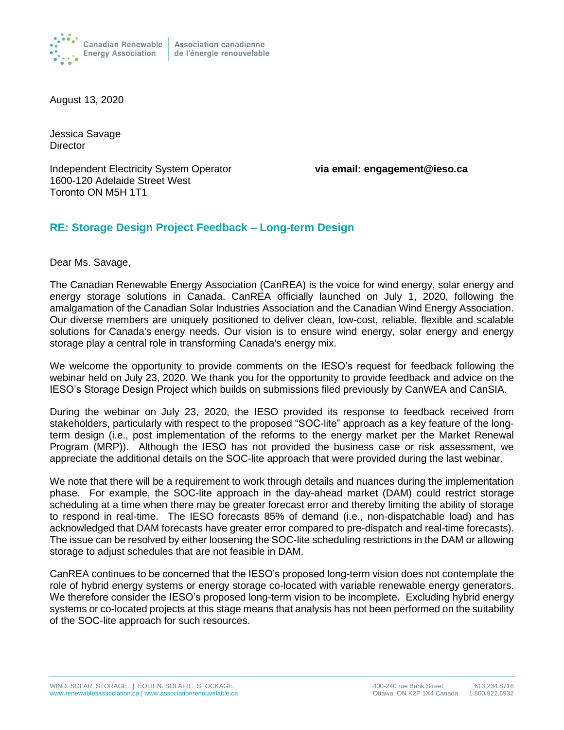

August 13, 2020

Jessica Savage **Director** 

Independent Electricity System Operator **via email: engagement@ieso.ca** 1600-120 Adelaide Street West Toronto ON M5H 1T1

## **RE: Storage Design Project Feedback – Long-term Design**

Dear Ms. Savage,

The Canadian Renewable Energy Association (CanREA) is the voice for wind energy, solar energy and energy storage solutions in Canada. CanREA officially launched on July 1, 2020, following the amalgamation of the Canadian Solar Industries Association and the Canadian Wind Energy Association. Our diverse members are uniquely positioned to deliver clean, low-cost, reliable, flexible and scalable solutions for Canada's energy needs. Our vision is to ensure wind energy, solar energy and energy storage play a central role in transforming Canada's energy mix.

We welcome the opportunity to provide comments on the IESO's request for feedback following the webinar held on July 23, 2020. We thank you for the opportunity to provide feedback and advice on the IESO's Storage Design Project which builds on submissions filed previously by CanWEA and CanSIA.

During the webinar on July 23, 2020, the IESO provided its response to feedback received from stakeholders, particularly with respect to the proposed "SOC-lite" approach as a key feature of the longterm design (i.e., post implementation of the reforms to the energy market per the Market Renewal Program (MRP)). Although the IESO has not provided the business case or risk assessment, we appreciate the additional details on the SOC-lite approach that were provided during the last webinar.

We note that there will be a requirement to work through details and nuances during the implementation phase. For example, the SOC-lite approach in the day-ahead market (DAM) could restrict storage scheduling at a time when there may be greater forecast error and thereby limiting the ability of storage to respond in real-time. The IESO forecasts 85% of demand (i.e., non-dispatchable load) and has acknowledged that DAM forecasts have greater error compared to pre-dispatch and real-time forecasts). The issue can be resolved by either loosening the SOC-lite scheduling restrictions in the DAM or allowing storage to adjust schedules that are not feasible in DAM.

CanREA continues to be concerned that the IESO's proposed long-term vision does not contemplate the role of hybrid energy systems or energy storage co-located with variable renewable energy generators. We therefore consider the IESO's proposed long-term vision to be incomplete. Excluding hybrid energy systems or co-located projects at this stage means that analysis has not been performed on the suitability of the SOC-lite approach for such resources.